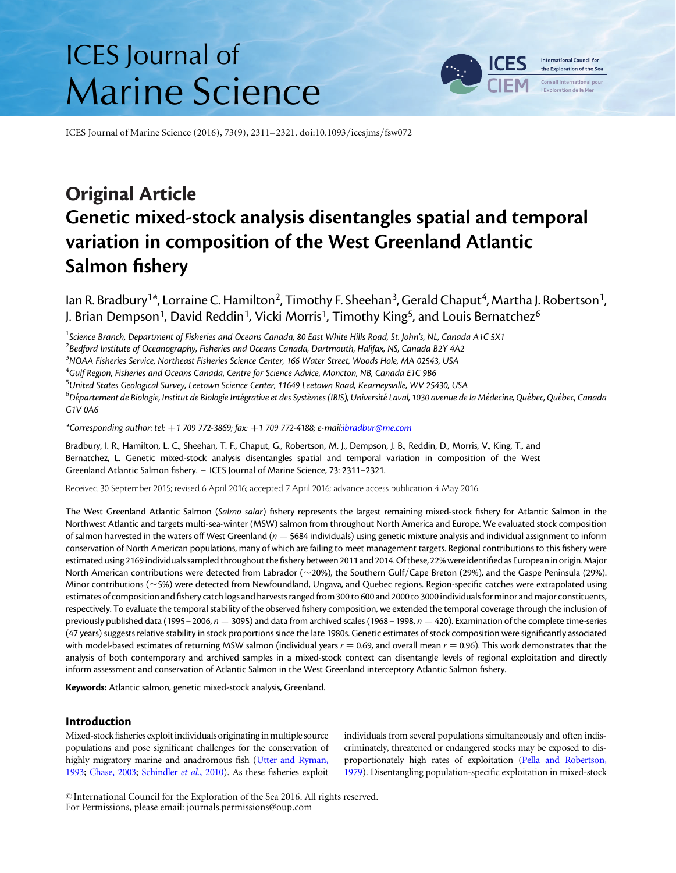# ICES Journal of Marine Science



ICES Journal of Marine Science (2016), 73(9), 2311–2321. doi:10.1093/icesjms/fsw072

# Genetic mixed-stock analysis disentangles spatial and temporal variation in composition of the West Greenland Atlantic Salmon fishery Original Article

Ian R. Bradbury<sup>1\*</sup>, Lorraine C. Hamilton<sup>2</sup>, Timothy F. Sheehan<sup>3</sup>, Gerald Chaput<sup>4</sup>, Martha J. Robertson<sup>1</sup>, J. Brian Dempson<sup>1</sup>, David Reddin<sup>1</sup>, Vicki Morris<sup>1</sup>, Timothy King<sup>5</sup>, and Louis Bernatchez<sup>6</sup>

<sup>1</sup>Science Branch, Department of Fisheries and Oceans Canada, 80 East White Hills Road, St. John's, NL, Canada A1C 5X1

 $^2$ Bedford Institute of Oceanography, Fisheries and Oceans Canada, Dartmouth, Halifax, NS, Canada B2Y 4A2

 $^3$ NOAA Fisheries Service, Northeast Fisheries Science Center, 166 Water Street, Woods Hole, MA 02543, USA

 $^4$ Gulf Region, Fisheries and Oceans Canada, Centre for Science Advice, Moncton, NB, Canada E1C 9B6

<sup>5</sup>United States Geological Survey, Leetown Science Center, 11649 Leetown Road, Kearneysville, WV 25430, USA

 $^6$ Département de Biologie, Institut de Biologie Intégrative et des Systèmes (IBIS), Université Laval, 1030 avenue de la Médecine, Québec, Québec, Canada G1V 0A6

\*Corresponding author: tel: +1 709 772-3869; fax: +1 709 772-4188; e-mail[:ibradbur@me.com](mailto:ibradbur@me.com)

Bradbury, I. R., Hamilton, L. C., Sheehan, T. F., Chaput, G., Robertson, M. J., Dempson, J. B., Reddin, D., Morris, V., King, T., and Bernatchez, L. Genetic mixed-stock analysis disentangles spatial and temporal variation in composition of the West Greenland Atlantic Salmon fishery. – ICES Journal of Marine Science, 73: 2311–2321.

Received 30 September 2015; revised 6 April 2016; accepted 7 April 2016 ; advance access publication 4 May 2016.

The West Greenland Atlantic Salmon (Salmo salar) fishery represents the largest remaining mixed-stock fishery for Atlantic Salmon in the Northwest Atlantic and targets multi-sea-winter (MSW) salmon from throughout North America and Europe. We evaluated stock composition of salmon harvested in the waters off West Greenland ( $n = 5684$  individuals) using genetic mixture analysis and individual assignment to inform conservation of North American populations, many of which are failing to meet management targets. Regional contributions to this fishery were estimated using 2169 individuals sampled throughout the fishery between 2011 and 2014. Of these, 22% were identified as European in origin.Major North American contributions were detected from Labrador ( $\sim$ 20%), the Southern Gulf/Cape Breton (29%), and the Gaspe Peninsula (29%). Minor contributions ( $\sim$ 5%) were detected from Newfoundland, Ungava, and Quebec regions. Region-specific catches were extrapolated using estimates of composition and fishery catch logs and harvests ranged from 300 to 600 and 2000 to 3000 individuals for minor and major constituents, respectively. To evaluate the temporal stability of the observed fishery composition, we extended the temporal coverage through the inclusion of previously published data (1995 – 2006,  $n = 3095$ ) and data from archived scales (1968 – 1998,  $n = 420$ ). Examination of the complete time-series (47 years) suggests relative stability in stock proportions since the late 1980s. Genetic estimates of stock composition were significantly associated with model-based estimates of returning MSW salmon (individual years  $r = 0.69$ , and overall mean  $r = 0.96$ ). This work demonstrates that the analysis of both contemporary and archived samples in a mixed-stock context can disentangle levels of regional exploitation and directly inform assessment and conservation of Atlantic Salmon in the West Greenland interceptory Atlantic Salmon fishery.

Keywords: Atlantic salmon, genetic mixed-stock analysis, Greenland.

# Introduction

Mixed-stock fisheries exploit individuals originating in multiple source populations and pose significant challenges for the conservation of highly migratory marine and anadromous fish ([Utter and Ryman,](#page-10-0) [1993](#page-10-0); [Chase, 2003](#page-9-0); [Schindler](#page-10-0) et al., 2010). As these fisheries exploit individuals from several populations simultaneously and often indiscriminately, threatened or endangered stocks may be exposed to disproportionately high rates of exploitation [\(Pella and Robertson,](#page-9-0) [1979](#page-9-0)). Disentangling population-specific exploitation in mixed-stock

© International Council for the Exploration of the Sea 2016. All rights reserved. For Permissions, please email: journals.permissions@oup.com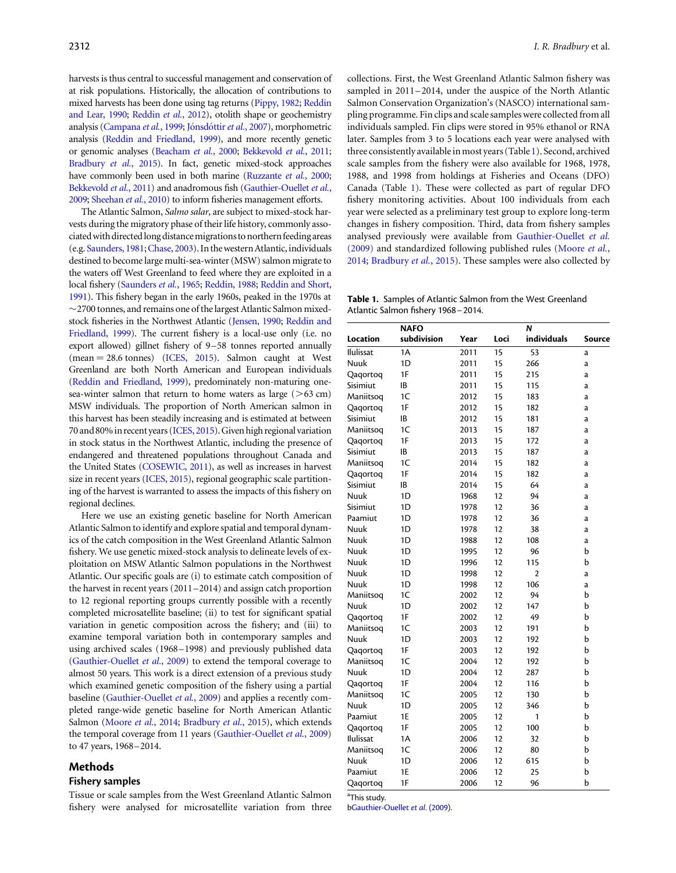<span id="page-1-0"></span>harvests is thus central to successful management and conservation of at risk populations. Historically, the allocation of contributions to mixed harvests has been done using tag returns ([Pippy, 1982](#page-9-0); [Reddin](#page-10-0) [and Lear, 1990;](#page-10-0) [Reddin](#page-10-0) et al., 2012), otolith shape or geochemistry analysis ([Campana](#page-9-0) et al., 1999; Jónsdóttir et al., 2007), morphometric analysis ([Reddin and Friedland, 1999](#page-9-0)), and more recently genetic or genomic analyses ([Beacham](#page-8-0) et al., 2000; [Bekkevold](#page-8-0) et al., 2011; [Bradbury](#page-8-0) et al., 2015). In fact, genetic mixed-stock approaches have commonly been used in both marine [\(Ruzzante](#page-10-0) et al., 2000; [Bekkevold](#page-8-0) et al., 2011) and anadromous fish [\(Gauthier-Ouellet](#page-9-0) et al., [2009;](#page-9-0) [Sheehan](#page-10-0) et al., 2010) to inform fisheries management efforts.

The Atlantic Salmon, Salmo salar, are subject to mixed-stock harvests during the migratory phase of their life history, commonly associated with directed long distance migrations to northern feeding areas (e.g. [Saunders, 1981;](#page-10-0) [Chase, 2003](#page-9-0)). In the western Atlantic, individuals destined to become large multi-sea-winter (MSW) salmon migrate to the waters off West Greenland to feed where they are exploited in a local fishery ([Saunders](#page-10-0) et al., 1965; [Reddin, 1988;](#page-9-0) [Reddin and Short,](#page-10-0) [1991](#page-10-0)). This fishery began in the early 1960s, peaked in the 1970s at  $\sim$  2700 tonnes, and remains one of the largest Atlantic Salmon mixedstock fisheries in the Northwest Atlantic [\(Jensen, 1990](#page-9-0); [Reddin and](#page-9-0) [Friedland, 1999\)](#page-9-0). The current fishery is a local-use only (i.e. no export allowed) gillnet fishery of 9–58 tonnes reported annually  $(mean = 28.6 \text{ tonnes})$  [\(ICES, 2015](#page-9-0)). Salmon caught at West Greenland are both North American and European individuals ([Reddin and Friedland, 1999](#page-9-0)), predominately non-maturing onesea-winter salmon that return to home waters as large  $(>63 \text{ cm})$ MSW individuals. The proportion of North American salmon in this harvest has been steadily increasing and is estimated at between 70 and80%in recent years [\(ICES, 2015](#page-9-0)).Given high regional variation in stock status in the Northwest Atlantic, including the presence of endangered and threatened populations throughout Canada and the United States [\(COSEWIC, 2011\)](#page-9-0), as well as increases in harvest size in recent years [\(ICES, 2015](#page-9-0)), regional geographic scale partitioning of the harvest is warranted to assess the impacts of this fishery on regional declines.

Here we use an existing genetic baseline for North American Atlantic Salmon to identify and explore spatial and temporal dynamics of the catch composition in the West Greenland Atlantic Salmon fishery. We use genetic mixed-stock analysis to delineate levels of exploitation on MSW Atlantic Salmon populations in the Northwest Atlantic. Our specific goals are (i) to estimate catch composition of the harvest in recent years (2011–2014) and assign catch proportion to 12 regional reporting groups currently possible with a recently completed microsatellite baseline; (ii) to test for significant spatial variation in genetic composition across the fishery; and (iii) to examine temporal variation both in contemporary samples and using archived scales (1968–1998) and previously published data ([Gauthier-Ouellet](#page-9-0) et al., 2009) to extend the temporal coverage to almost 50 years. This work is a direct extension of a previous study which examined genetic composition of the fishery using a partial baseline [\(Gauthier-Ouellet](#page-9-0) et al., 2009) and applies a recently completed range-wide genetic baseline for North American Atlantic Salmon [\(Moore](#page-9-0) et al., 2014; [Bradbury](#page-8-0) et al., 2015), which extends the temporal coverage from 11 years ([Gauthier-Ouellet](#page-9-0) et al., 2009) to 47 years, 1968–2014.

# Methods

# Fishery samples

Tissue or scale samples from the West Greenland Atlantic Salmon fishery were analysed for microsatellite variation from three collections. First, the West Greenland Atlantic Salmon fishery was sampled in 2011–2014, under the auspice of the North Atlantic Salmon Conservation Organization's (NASCO) international sampling programme. Fin clips and scale samples were collected from all individuals sampled. Fin clips were stored in 95% ethanol or RNA later. Samples from 3 to 5 locations each year were analysed with three consistently available in most years (Table 1). Second, archived scale samples from the fishery were also available for 1968, 1978, 1988, and 1998 from holdings at Fisheries and Oceans (DFO) Canada (Table 1). These were collected as part of regular DFO fishery monitoring activities. About 100 individuals from each year were selected as a preliminary test group to explore long-term changes in fishery composition. Third, data from fishery samples analysed previously were available from [Gauthier-Ouellet](#page-9-0) et al. [\(2009\)](#page-9-0) and standardized following published rules ([Moore](#page-9-0) et al., [2014;](#page-9-0) [Bradbury](#page-8-0) et al., 2015). These samples were also collected by

Table 1. Samples of Atlantic Salmon from the West Greenland Atlantic Salmon fishery 1968–2014.

|           | <b>NAFO</b> |      | N    |                |             |
|-----------|-------------|------|------|----------------|-------------|
| Location  | subdivision | Year | Loci | individuals    | Source      |
| Ilulissat | 1A          | 2011 | 15   | 53             | a           |
| Nuuk      | 1D          | 2011 | 15   | 266            | a           |
| Qaqortoq  | 1F          | 2011 | 15   | 215            | a           |
| Sisimiut  | IB          | 2011 | 15   | 115            | a           |
| Maniitsoq | 1C          | 2012 | 15   | 183            | a           |
| Qaqortoq  | 1F          | 2012 | 15   | 182            | a           |
| Sisimiut  | IB          | 2012 | 15   | 181            | a           |
| Maniitsog | 1C          | 2013 | 15   | 187            | a           |
| Qaqortoq  | 1F          | 2013 | 15   | 172            | a           |
| Sisimiut  | IB          | 2013 | 15   | 187            | a           |
| Maniitsoq | 1C          | 2014 | 15   | 182            | a           |
| Qaqortoq  | 1F          | 2014 | 15   | 182            | a           |
| Sisimiut  | IB          | 2014 | 15   | 64             | a           |
| Nuuk      | 1D          | 1968 | 12   | 94             | a           |
| Sisimiut  | 1D          | 1978 | 12   | 36             | a           |
| Paamiut   | 1D          | 1978 | 12   | 36             | a           |
| Nuuk      | 1D          | 1978 | 12   | 38             | a           |
| Nuuk      | 1D          | 1988 | 12   | 108            | a           |
| Nuuk      | 1D          | 1995 | 12   | 96             | b           |
| Nuuk      | 1D          | 1996 | 12   | 115            | b           |
| Nuuk      | 1D          | 1998 | 12   | $\overline{2}$ | a           |
| Nuuk      | 1D          | 1998 | 12   | 106            | a           |
| Maniitsoq | 1C          | 2002 | 12   | 94             | b           |
| Nuuk      | 1D          | 2002 | 12   | 147            | b           |
| Qaqortoq  | 1F          | 2002 | 12   | 49             | b           |
| Maniitsoq | 1C          | 2003 | 12   | 191            | b           |
| Nuuk      | 1D          | 2003 | 12   | 192            | b           |
| Qaqortoq  | 1F          | 2003 | 12   | 192            | b           |
| Maniitsog | 1C          | 2004 | 12   | 192            | b           |
| Nuuk      | 1D          | 2004 | 12   | 287            | b           |
| Qaqortoq  | 1F          | 2004 | 12   | 116            | b           |
| Maniitsoq | 1C          | 2005 | 12   | 130            | b           |
| Nuuk      | 1D          | 2005 | 12   | 346            | b           |
| Paamiut   | 1Е          | 2005 | 12   | 1              | b           |
| Qaqortoq  | 1F          | 2005 | 12   | 100            | b           |
| Ilulissat | 1A          | 2006 | 12   | 32             | b           |
| Maniitsog | 1C          | 2006 | 12   | 80             | b           |
| Nuuk      | 1D          | 2006 | 12   | 615            | b           |
| Paamiut   | 1E          | 2006 | 12   | 25             | $\mathbf b$ |
| Qaqortoq  | 1F          | 2006 | 12   | 96             | b           |

<sup>a</sup>This study.

b[Gauthier-Ouellet](#page-9-0) et al. (2009).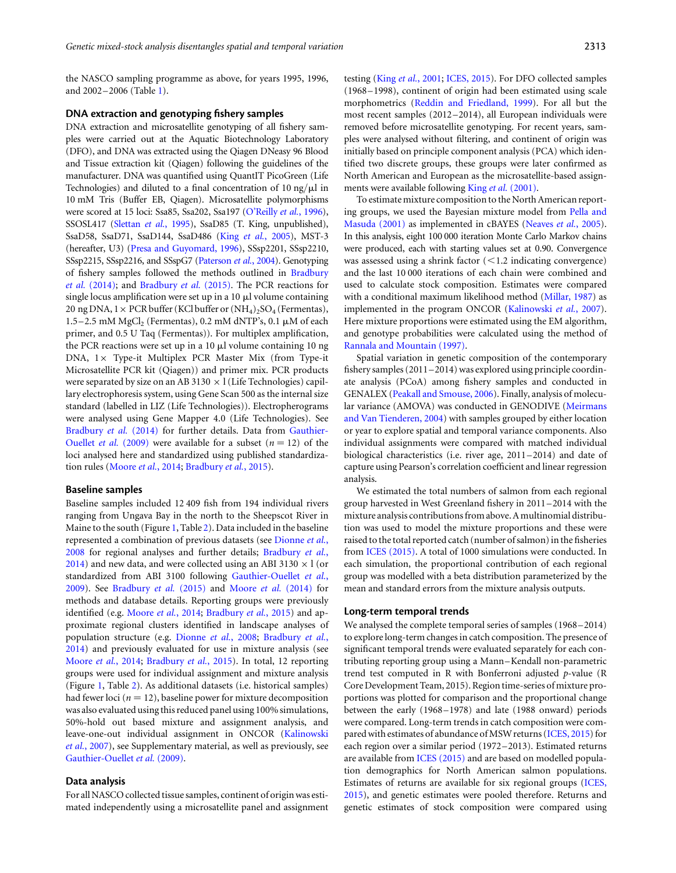the NASCO sampling programme as above, for years 1995, 1996, and 2002–2006 (Table [1](#page-1-0)).

# DNA extraction and genotyping fishery samples

DNA extraction and microsatellite genotyping of all fishery samples were carried out at the Aquatic Biotechnology Laboratory (DFO), and DNA was extracted using the Qiagen DNeasy 96 Blood and Tissue extraction kit (Qiagen) following the guidelines of the manufacturer. DNA was quantified using QuantIT PicoGreen (Life Technologies) and diluted to a final concentration of 10 ng/ $\mu$ l in 10 mM Tris (Buffer EB, Qiagen). Microsatellite polymorphisms were scored at 15 loci: Ssa85, Ssa202, Ssa197 [\(O'Reilly](#page-9-0) et al., 1996), SSOSL417 [\(Slettan](#page-10-0) et al., 1995), SsaD85 (T. King, unpublished), SsaD58, SsaD71, SsaD144, SsaD486 (King et al.[, 2005\)](#page-9-0), MST-3 (hereafter, U3) [\(Presa and Guyomard, 1996](#page-9-0)), SSsp2201, SSsp2210, SSsp2215, SSsp2216, and SSspG7 [\(Paterson](#page-9-0) et al., 2004). Genotyping of fishery samples followed the methods outlined in [Bradbury](#page-9-0) et al. [\(2014\);](#page-9-0) and [Bradbury](#page-8-0) et al. (2015). The PCR reactions for single locus amplification were set up in a  $10 \mu l$  volume containing 20 ng DNA,  $1 \times$  PCR buffer (KCl buffer or  $(NH_4)_2SO_4$  (Fermentas), 1.5 – 2.5 mM  $MgCl<sub>2</sub>$  (Fermentas), 0.2 mM dNTP's, 0.1  $\mu$ M of each primer, and 0.5 U Taq (Fermentas)). For multiplex amplification, the PCR reactions were set up in a  $10 \mu l$  volume containing  $10 \text{ ng}$ DNA,  $1 \times$  Type-it Multiplex PCR Master Mix (from Type-it Microsatellite PCR kit (Qiagen)) and primer mix. PCR products were separated by size on an AB 3130  $\times$  l (Life Technologies) capillary electrophoresis system, using Gene Scan 500 as the internal size standard (labelled in LIZ (Life Technologies)). Electropherograms were analysed using Gene Mapper 4.0 (Life Technologies). See [Bradbury](#page-9-0) et al. (2014) for further details. Data from [Gauthier-](#page-9-0)[Ouellet](#page-9-0) *et al.* (2009) were available for a subset  $(n = 12)$  of the loci analysed here and standardized using published standardization rules [\(Moore](#page-9-0) et al., 2014; [Bradbury](#page-8-0) et al., 2015).

#### Baseline samples

Baseline samples included 12 409 fish from 194 individual rivers ranging from Ungava Bay in the north to the Sheepscot River in Maine to the south (Figure [1,](#page-3-0) Table [2\)](#page-4-0). Data included in the baseline represented a combination of previous datasets (see [Dionne](#page-9-0) et al., [2008](#page-9-0) for regional analyses and further details; [Bradbury](#page-9-0) et al., [2014\)](#page-9-0) and new data, and were collected using an ABI 3130  $\times$  l (or standardized from ABI 3100 following [Gauthier-Ouellet](#page-9-0) et al., [2009\)](#page-9-0). See [Bradbury](#page-8-0) et al. (2015) and [Moore](#page-9-0) et al. (2014) for methods and database details. Reporting groups were previously identified (e.g. [Moore](#page-9-0) et al., 2014; [Bradbury](#page-8-0) et al., 2015) and approximate regional clusters identified in landscape analyses of population structure (e.g. [Dionne](#page-9-0) et al., 2008; [Bradbury](#page-9-0) et al., [2014\)](#page-9-0) and previously evaluated for use in mixture analysis (see [Moore](#page-9-0) et al., 2014; [Bradbury](#page-8-0) et al., 2015). In total, 12 reporting groups were used for individual assignment and mixture analysis (Figure [1,](#page-3-0) Table [2\)](#page-4-0). As additional datasets (i.e. historical samples) had fewer loci ( $n = 12$ ), baseline power for mixture decomposition was also evaluated using this reduced panel using 100% simulations, 50%-hold out based mixture and assignment analysis, and leave-one-out individual assignment in ONCOR ([Kalinowski](#page-9-0) et al.[, 2007](#page-9-0)), see [Supplementary material,](http://icesjms.oxfordjournals.org/lookup/suppl/doi:10.1093/icesjms/fsw072/-/DC1) as well as previously, see [Gauthier-Ouellet](#page-9-0) et al. (2009).

# Data analysis

For all NASCO collected tissue samples, continent of origin was estimated independently using a microsatellite panel and assignment testing (King et al.[, 2001](#page-9-0); [ICES, 2015](#page-9-0)). For DFO collected samples (1968–1998), continent of origin had been estimated using scale morphometrics ([Reddin and Friedland, 1999\)](#page-9-0). For all but the most recent samples (2012–2014), all European individuals were removed before microsatellite genotyping. For recent years, samples were analysed without filtering, and continent of origin was initially based on principle component analysis (PCA) which identified two discrete groups, these groups were later confirmed as North American and European as the microsatellite-based assign-ments were available following King et al. [\(2001\)](#page-9-0).

To estimate mixture composition to the North American reporting groups, we used the Bayesian mixture model from [Pella and](#page-9-0) [Masuda \(2001\)](#page-9-0) as implemented in cBAYES [\(Neaves](#page-9-0) et al., 2005). In this analysis, eight 100 000 iteration Monte Carlo Markov chains were produced, each with starting values set at 0.90. Convergence was assessed using a shrink factor  $(<1.2$  indicating convergence) and the last 10 000 iterations of each chain were combined and used to calculate stock composition. Estimates were compared with a conditional maximum likelihood method [\(Millar, 1987\)](#page-9-0) as implemented in the program ONCOR ([Kalinowski](#page-9-0) et al., 2007). Here mixture proportions were estimated using the EM algorithm, and genotype probabilities were calculated using the method of [Rannala and Mountain \(1997\)](#page-9-0).

Spatial variation in genetic composition of the contemporary fishery samples (2011–2014) was explored using principle coordinate analysis (PCoA) among fishery samples and conducted in GENALEX ([Peakall and Smouse, 2006](#page-9-0)). Finally, analysis of molecular variance (AMOVA) was conducted in GENODIVE [\(Meirmans](#page-9-0) [and Van Tienderen, 2004\)](#page-9-0) with samples grouped by either location or year to explore spatial and temporal variance components. Also individual assignments were compared with matched individual biological characteristics (i.e. river age, 2011–2014) and date of capture using Pearson's correlation coefficient and linear regression analysis.

We estimated the total numbers of salmon from each regional group harvested in West Greenland fishery in 2011–2014 with the mixture analysis contributions from above. A multinomial distribution was used to model the mixture proportions and these were raised to the total reported catch (number of salmon) in the fisheries from [ICES \(2015\)](#page-9-0). A total of 1000 simulations were conducted. In each simulation, the proportional contribution of each regional group was modelled with a beta distribution parameterized by the mean and standard errors from the mixture analysis outputs.

#### Long-term temporal trends

We analysed the complete temporal series of samples (1968–2014) to explore long-term changes in catch composition. The presence of significant temporal trends were evaluated separately for each contributing reporting group using a Mann–Kendall non-parametric trend test computed in R with Bonferroni adjusted p-value (R Core Development Team, 2015). Region time-series of mixture proportions was plotted for comparison and the proportional change between the early (1968–1978) and late (1988 onward) periods were compared. Long-term trends in catch composition were com-pared with estimates of abundance of MSW returns ([ICES, 2015\)](#page-9-0) for each region over a similar period (1972–2013). Estimated returns are available from [ICES \(2015\)](#page-9-0) and are based on modelled population demographics for North American salmon populations. Estimates of returns are available for six regional groups ([ICES,](#page-9-0) [2015](#page-9-0)), and genetic estimates were pooled therefore. Returns and genetic estimates of stock composition were compared using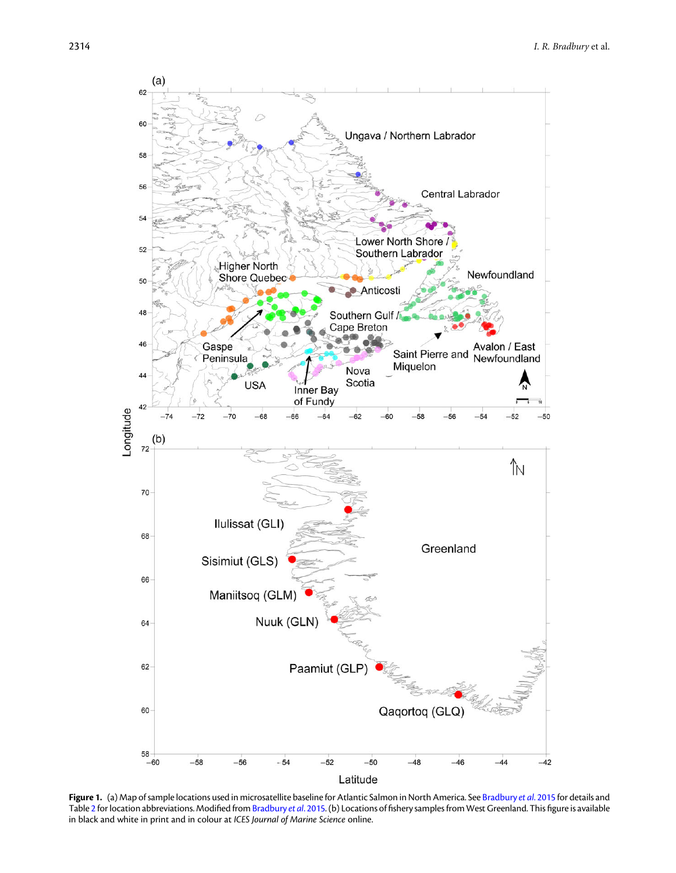<span id="page-3-0"></span>



Figure 1. (a) Map of sample locations used in microsatellite baseline for Atlantic Salmon in North America. See [Bradbury](#page-8-0) et al. 2015 for details and Table [2](#page-4-0) for location abbreviations. Modified from [Bradbury](#page-9-0) et al. 2015. (b) Locations of fishery samples from West Greenland. This figure is available in black and white in print and in colour at ICES Journal of Marine Science online.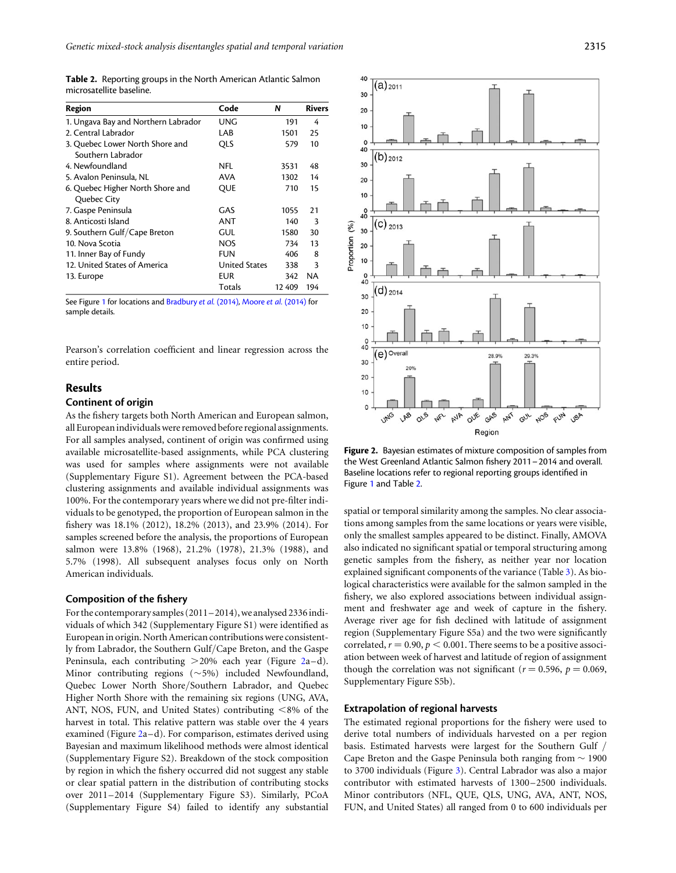<span id="page-4-0"></span>Table 2. Reporting groups in the North American Atlantic Salmon microsatellite baseline.

| <b>Region</b>                       | Code                 | N     | <b>Rivers</b> |
|-------------------------------------|----------------------|-------|---------------|
| 1. Ungava Bay and Northern Labrador | UNG                  | 191   | 4             |
| 2. Central Labrador                 | LAB                  | 1501  | 25            |
| 3. Quebec Lower North Shore and     | <b>OLS</b>           | 579   | 10            |
| Southern Labrador                   |                      |       |               |
| 4. Newfoundland                     | NFL                  | 3531  | 48            |
| 5. Avalon Peninsula. NL             | AVA                  | 1302  | 14            |
| 6. Quebec Higher North Shore and    | <b>OUE</b>           | 710   | 15            |
| Quebec City                         |                      |       |               |
| 7. Gaspe Peninsula                  | GAS                  | 1055  | 21            |
| 8. Anticosti Island                 | <b>ANT</b>           | 140   | 3             |
| 9. Southern Gulf/Cape Breton        | GUL                  | 1580  | 30            |
| 10. Nova Scotia                     | <b>NOS</b>           | 734   | 13            |
| 11. Inner Bay of Fundy              | <b>FUN</b>           | 406   | 8             |
| 12. United States of America        | <b>United States</b> | 338   | 3             |
| 13. Europe                          | eur                  | 342   | <b>NA</b>     |
|                                     | Totals               | 12409 | 194           |

See Figure [1](#page-3-0) for locations and [Bradbury](#page-9-0) et al. (2014), [Moore](#page-9-0) et al. (2014) for sample details.

Pearson's correlation coefficient and linear regression across the entire period.

#### Results

# Continent of origin

As the fishery targets both North American and European salmon, all European individuals were removed before regional assignments. For all samples analysed, continent of origin was confirmed using available microsatellite-based assignments, while PCA clustering was used for samples where assignments were not available ([Supplementary Figure S1\)](http://icesjms.oxfordjournals.org/lookup/suppl/doi:10.1093/icesjms/fsw072/-/DC1). Agreement between the PCA-based clustering assignments and available individual assignments was 100%. For the contemporary years where we did not pre-filter individuals to be genotyped, the proportion of European salmon in the fishery was 18.1% (2012), 18.2% (2013), and 23.9% (2014). For samples screened before the analysis, the proportions of European salmon were 13.8% (1968), 21.2% (1978), 21.3% (1988), and 5.7% (1998). All subsequent analyses focus only on North American individuals.

#### Composition of the fishery

For the contemporary samples  $(2011-2014)$ , we analysed 2336 individuals of which 342 ([Supplementary Figure S1\)](http://icesjms.oxfordjournals.org/lookup/suppl/doi:10.1093/icesjms/fsw072/-/DC1) were identified as European in origin. North American contributions were consistently from Labrador, the Southern Gulf/Cape Breton, and the Gaspe Peninsula, each contributing  $>20\%$  each year (Figure 2a-d). Minor contributing regions  $(\sim 5\%)$  included Newfoundland, Quebec Lower North Shore/Southern Labrador, and Quebec Higher North Shore with the remaining six regions (UNG, AVA, ANT, NOS, FUN, and United States) contributing  $\leq 8\%$  of the harvest in total. This relative pattern was stable over the 4 years examined (Figure 2a–d). For comparison, estimates derived using Bayesian and maximum likelihood methods were almost identical ([Supplementary Figure S2\)](http://icesjms.oxfordjournals.org/lookup/suppl/doi:10.1093/icesjms/fsw072/-/DC1). Breakdown of the stock composition by region in which the fishery occurred did not suggest any stable or clear spatial pattern in the distribution of contributing stocks over 2011–2014 ([Supplementary Figure S3](http://icesjms.oxfordjournals.org/lookup/suppl/doi:10.1093/icesjms/fsw072/-/DC1)). Similarly, PCoA ([Supplementary Figure S4](http://icesjms.oxfordjournals.org/lookup/suppl/doi:10.1093/icesjms/fsw072/-/DC1)) failed to identify any substantial



Figure 2. Bayesian estimates of mixture composition of samples from the West Greenland Atlantic Salmon fishery 2011–2014 and overall. Baseline locations refer to regional reporting groups identified in Figure [1](#page-3-0) and Table 2.

spatial or temporal similarity among the samples. No clear associations among samples from the same locations or years were visible, only the smallest samples appeared to be distinct. Finally, AMOVA also indicated no significant spatial or temporal structuring among genetic samples from the fishery, as neither year nor location explained significant components of the variance (Table [3\)](#page-5-0). As biological characteristics were available for the salmon sampled in the fishery, we also explored associations between individual assignment and freshwater age and week of capture in the fishery. Average river age for fish declined with latitude of assignment region ([Supplementary Figure S5a\)](http://icesjms.oxfordjournals.org/lookup/suppl/doi:10.1093/icesjms/fsw072/-/DC1) and the two were significantly correlated,  $r = 0.90$ ,  $p < 0.001$ . There seems to be a positive association between week of harvest and latitude of region of assignment though the correlation was not significant ( $r = 0.596$ ,  $p = 0.069$ , [Supplementary Figure S5b](http://icesjms.oxfordjournals.org/lookup/suppl/doi:10.1093/icesjms/fsw072/-/DC1)).

#### Extrapolation of regional harvests

The estimated regional proportions for the fishery were used to derive total numbers of individuals harvested on a per region basis. Estimated harvests were largest for the Southern Gulf / Cape Breton and the Gaspe Peninsula both ranging from  $\sim$  1900 to 3700 individuals (Figure [3](#page-5-0)). Central Labrador was also a major contributor with estimated harvests of 1300–2500 individuals. Minor contributors (NFL, QUE, QLS, UNG, AVA, ANT, NOS, FUN, and United States) all ranged from 0 to 600 individuals per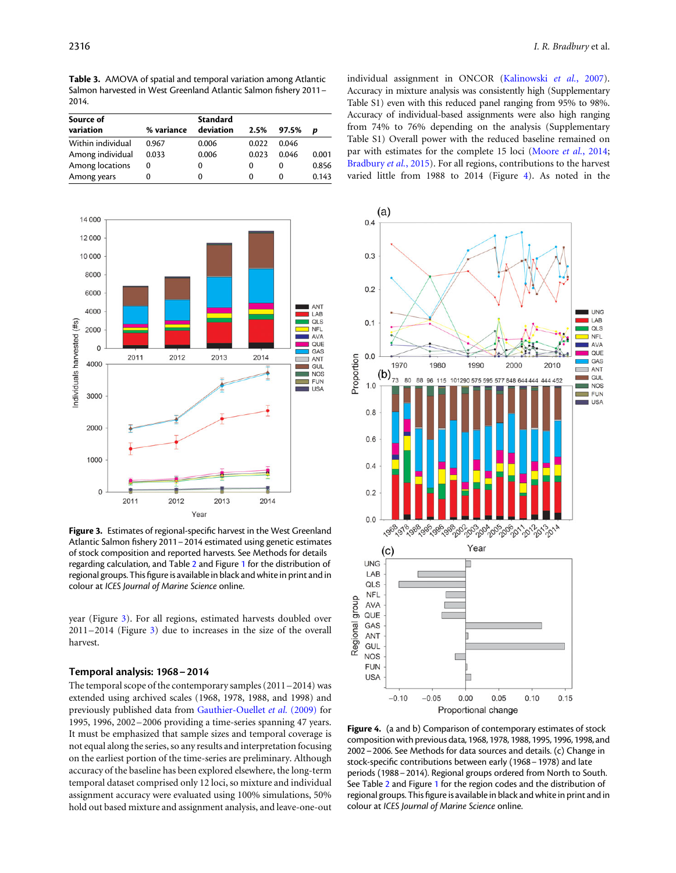<span id="page-5-0"></span>Table 3. AMOVA of spatial and temporal variation among Atlantic Salmon harvested in West Greenland Atlantic Salmon fishery 2011– 2014.

| Source of         |            | <b>Standard</b> |       |          |       |
|-------------------|------------|-----------------|-------|----------|-------|
| variation         | % variance | deviation       | 2.5%  | 97.5%    | D     |
| Within individual | 0.967      | 0.006           | 0.022 | 0.046    |       |
| Among individual  | 0.033      | 0.006           | 0.023 | 0.046    | 0.001 |
| Among locations   |            |                 | 0     | $\Omega$ | 0.856 |
| Among years       |            |                 | O     | 0        | 0.143 |



Figure 3. Estimates of regional-specific harvest in the West Greenland Atlantic Salmon fishery 2011–2014 estimated using genetic estimates of stock composition and reported harvests. See Methods for details regarding calculation, and Table [2](#page-4-0) and Figure [1](#page-3-0) for the distribution of regional groups. This figure is available in black and white in print and in colour at ICES Journal of Marine Science online.

year (Figure 3). For all regions, estimated harvests doubled over 2011–2014 (Figure 3) due to increases in the size of the overall harvest.

#### Temporal analysis: 1968–2014

The temporal scope of the contemporary samples (2011–2014) was extended using archived scales (1968, 1978, 1988, and 1998) and previously published data from [Gauthier-Ouellet](#page-9-0) et al. (2009) for 1995, 1996, 2002–2006 providing a time-series spanning 47 years. It must be emphasized that sample sizes and temporal coverage is not equal along the series, so any results and interpretation focusing on the earliest portion of the time-series are preliminary. Although accuracy of the baseline has been explored elsewhere, the long-term temporal dataset comprised only 12 loci, so mixture and individual assignment accuracy were evaluated using 100% simulations, 50% hold out based mixture and assignment analysis, and leave-one-out individual assignment in ONCOR [\(Kalinowski](#page-9-0) et al., 2007). Accuracy in mixture analysis was consistently high [\(Supplementary](http://icesjms.oxfordjournals.org/lookup/suppl/doi:10.1093/icesjms/fsw072/-/DC1) [Table S1\)](http://icesjms.oxfordjournals.org/lookup/suppl/doi:10.1093/icesjms/fsw072/-/DC1) even with this reduced panel ranging from 95% to 98%. Accuracy of individual-based assignments were also high ranging from 74% to 76% depending on the analysis ([Supplementary](http://icesjms.oxfordjournals.org/lookup/suppl/doi:10.1093/icesjms/fsw072/-/DC1) [Table S1](http://icesjms.oxfordjournals.org/lookup/suppl/doi:10.1093/icesjms/fsw072/-/DC1)) Overall power with the reduced baseline remained on par with estimates for the complete 15 loci [\(Moore](#page-9-0) et al., 2014; [Bradbury](#page-8-0) et al., 2015). For all regions, contributions to the harvest varied little from 1988 to 2014 (Figure 4). As noted in the



Figure 4. (a and b) Comparison of contemporary estimates of stock composition with previous data, 1968, 1978, 1988, 1995, 1996, 1998, and 2002–2006. See Methods for data sources and details. (c) Change in stock-specific contributions between early (1968–1978) and late periods (1988–2014). Regional groups ordered from North to South. See Table [2](#page-4-0) and Figure [1](#page-3-0) for the region codes and the distribution of regional groups. This figure is available in black and white in print and in colour at ICES Journal of Marine Science online.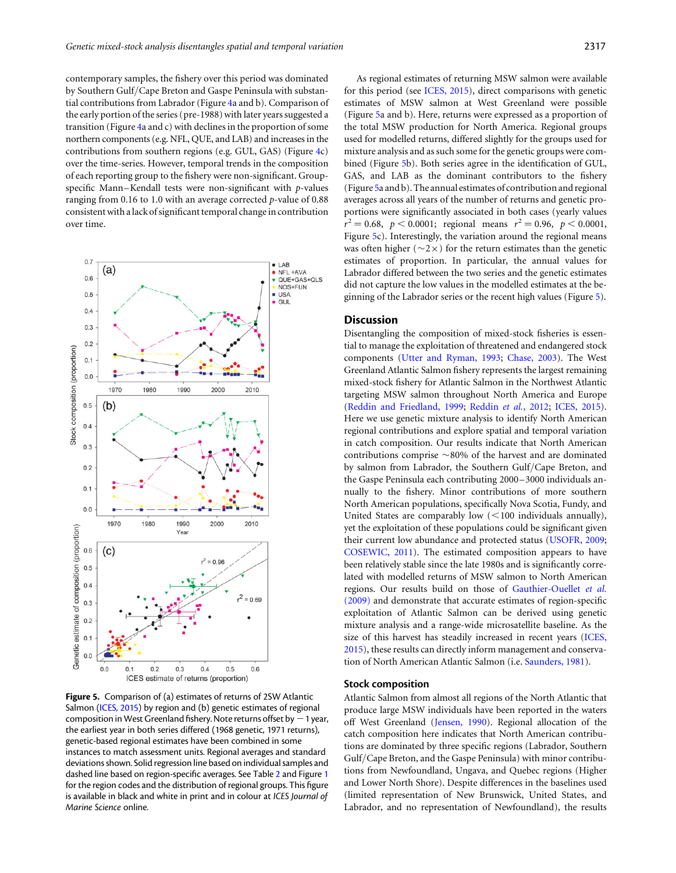contemporary samples, the fishery over this period was dominated by Southern Gulf/Cape Breton and Gaspe Peninsula with substantial contributions from Labrador (Figure [4a](#page-5-0) and b). Comparison of the early portion of the series (pre-1988) with later years suggested a transition (Figure [4a](#page-5-0) and c) with declines in the proportion of some northern components (e.g. NFL, QUE, and LAB) and increases in the contributions from southern regions (e.g. GUL, GAS) (Figure [4](#page-5-0)c) over the time-series. However, temporal trends in the composition of each reporting group to the fishery were non-significant. Groupspecific Mann–Kendall tests were non-significant with p-values ranging from 0.16 to 1.0 with an average corrected  $p$ -value of 0.88 consistent with a lack of significant temporal change in contribution over time.



Figure 5. Comparison of (a) estimates of returns of 2SW Atlantic Salmon [\(ICES, 2015](#page-9-0)) by region and (b) genetic estimates of regional composition in West Greenland fishery. Note returns offset by  $-1$  year, the earliest year in both series differed (1968 genetic, 1971 returns), genetic-based regional estimates have been combined in some instances to match assessment units. Regional averages and standard deviations shown. Solid regression line based on individual samples and dashed line based on region-specific averages. See Table [2](#page-4-0) and Figure [1](#page-3-0) for the region codes and the distribution of regional groups. This figure is available in black and white in print and in colour at ICES Journal of Marine Science online.

As regional estimates of returning MSW salmon were available for this period (see [ICES, 2015\)](#page-9-0), direct comparisons with genetic estimates of MSW salmon at West Greenland were possible (Figure 5a and b). Here, returns were expressed as a proportion of the total MSW production for North America. Regional groups used for modelled returns, differed slightly for the groups used for mixture analysis and as such some for the genetic groups were combined (Figure 5b). Both series agree in the identification of GUL, GAS, and LAB as the dominant contributors to the fishery (Figure 5a and b). The annual estimates of contribution and regional averages across all years of the number of returns and genetic proportions were significantly associated in both cases (yearly values  $r^2 = 0.68$ ,  $p < 0.0001$ ; regional means  $r^2 = 0.96$ ,  $p < 0.0001$ , Figure 5c). Interestingly, the variation around the regional means was often higher ( $\sim$ 2 $\times$ ) for the return estimates than the genetic estimates of proportion. In particular, the annual values for Labrador differed between the two series and the genetic estimates did not capture the low values in the modelled estimates at the beginning of the Labrador series or the recent high values (Figure 5).

# **Discussion**

Disentangling the composition of mixed-stock fisheries is essential to manage the exploitation of threatened and endangered stock components ([Utter and Ryman, 1993;](#page-10-0) [Chase, 2003\)](#page-9-0). The West Greenland Atlantic Salmon fishery represents the largest remaining mixed-stock fishery for Atlantic Salmon in the Northwest Atlantic targeting MSW salmon throughout North America and Europe [\(Reddin and Friedland, 1999;](#page-9-0) [Reddin](#page-10-0) et al., 2012; [ICES, 2015](#page-9-0)). Here we use genetic mixture analysis to identify North American regional contributions and explore spatial and temporal variation in catch composition. Our results indicate that North American contributions comprise  $\sim$ 80% of the harvest and are dominated by salmon from Labrador, the Southern Gulf/Cape Breton, and the Gaspe Peninsula each contributing 2000–3000 individuals annually to the fishery. Minor contributions of more southern North American populations, specifically Nova Scotia, Fundy, and United States are comparably low  $(<100$  individuals annually), yet the exploitation of these populations could be significant given their current low abundance and protected status ([USOFR, 2009;](#page-10-0) [COSEWIC, 2011](#page-9-0)). The estimated composition appears to have been relatively stable since the late 1980s and is significantly correlated with modelled returns of MSW salmon to North American regions. Our results build on those of [Gauthier-Ouellet](#page-9-0) et al. [\(2009\)](#page-9-0) and demonstrate that accurate estimates of region-specific exploitation of Atlantic Salmon can be derived using genetic mixture analysis and a range-wide microsatellite baseline. As the size of this harvest has steadily increased in recent years ([ICES,](#page-9-0) [2015](#page-9-0)), these results can directly inform management and conservation of North American Atlantic Salmon (i.e. [Saunders, 1981](#page-10-0)).

#### Stock composition

Atlantic Salmon from almost all regions of the North Atlantic that produce large MSW individuals have been reported in the waters off West Greenland ([Jensen, 1990](#page-9-0)). Regional allocation of the catch composition here indicates that North American contributions are dominated by three specific regions (Labrador, Southern Gulf/Cape Breton, and the Gaspe Peninsula) with minor contributions from Newfoundland, Ungava, and Quebec regions (Higher and Lower North Shore). Despite differences in the baselines used (limited representation of New Brunswick, United States, and Labrador, and no representation of Newfoundland), the results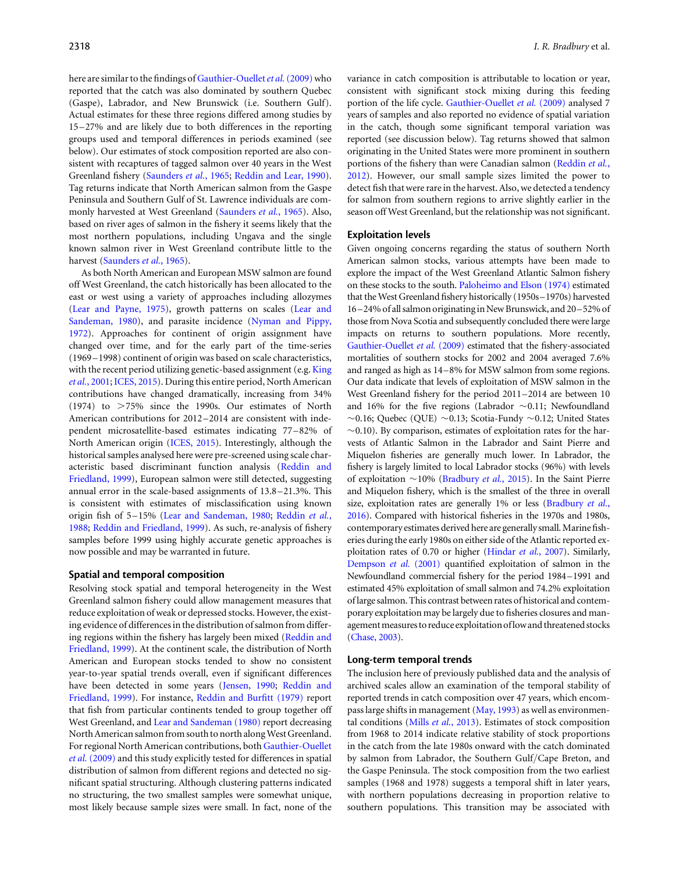here are similar to the findings of [Gauthier-Ouellet](#page-9-0) et al. (2009) who reported that the catch was also dominated by southern Quebec (Gaspe), Labrador, and New Brunswick (i.e. Southern Gulf). Actual estimates for these three regions differed among studies by 15–27% and are likely due to both differences in the reporting groups used and temporal differences in periods examined (see below). Our estimates of stock composition reported are also consistent with recaptures of tagged salmon over 40 years in the West Greenland fishery ([Saunders](#page-10-0) et al., 1965; [Reddin and Lear, 1990\)](#page-10-0). Tag returns indicate that North American salmon from the Gaspe Peninsula and Southern Gulf of St. Lawrence individuals are commonly harvested at West Greenland ([Saunders](#page-10-0) et al., 1965). Also, based on river ages of salmon in the fishery it seems likely that the most northern populations, including Ungava and the single known salmon river in West Greenland contribute little to the harvest ([Saunders](#page-10-0) et al., 1965).

As both North American and European MSW salmon are found off West Greenland, the catch historically has been allocated to the east or west using a variety of approaches including allozymes ([Lear and Payne, 1975\)](#page-9-0), growth patterns on scales ([Lear and](#page-9-0) [Sandeman, 1980](#page-9-0)), and parasite incidence ([Nyman and Pippy,](#page-9-0) [1972\)](#page-9-0). Approaches for continent of origin assignment have changed over time, and for the early part of the time-series (1969–1998) continent of origin was based on scale characteristics, with the recent period utilizing genetic-based assignment (e.g. [King](#page-9-0) et al.[, 2001;](#page-9-0) [ICES, 2015](#page-9-0)). During this entire period, North American contributions have changed dramatically, increasing from 34% (1974) to  $>75\%$  since the 1990s. Our estimates of North American contributions for 2012–2014 are consistent with independent microsatellite-based estimates indicating 77–82% of North American origin [\(ICES, 2015](#page-9-0)). Interestingly, although the historical samples analysed here were pre-screened using scale characteristic based discriminant function analysis [\(Reddin and](#page-9-0) [Friedland, 1999\)](#page-9-0), European salmon were still detected, suggesting annual error in the scale-based assignments of 13.8–21.3%. This is consistent with estimates of misclassification using known origin fish of 5–15% [\(Lear and Sandeman, 1980;](#page-9-0) [Reddin](#page-10-0) et al., [1988;](#page-10-0) [Reddin and Friedland, 1999](#page-9-0)). As such, re-analysis of fishery samples before 1999 using highly accurate genetic approaches is now possible and may be warranted in future.

#### Spatial and temporal composition

Resolving stock spatial and temporal heterogeneity in the West Greenland salmon fishery could allow management measures that reduce exploitation of weak or depressed stocks. However, the existing evidence of differences in the distribution of salmon from differing regions within the fishery has largely been mixed [\(Reddin and](#page-9-0) [Friedland, 1999\)](#page-9-0). At the continent scale, the distribution of North American and European stocks tended to show no consistent year-to-year spatial trends overall, even if significant differences have been detected in some years ([Jensen, 1990](#page-9-0); [Reddin and](#page-9-0) [Friedland, 1999](#page-9-0)). For instance, [Reddin and Burfitt \(1979\)](#page-9-0) report that fish from particular continents tended to group together off West Greenland, and [Lear and Sandeman \(1980\)](#page-9-0) report decreasing North American salmon from south to north along West Greenland. For regional North American contributions, both [Gauthier-Ouellet](#page-9-0) et al. [\(2009\)](#page-9-0) and this study explicitly tested for differences in spatial distribution of salmon from different regions and detected no significant spatial structuring. Although clustering patterns indicated no structuring, the two smallest samples were somewhat unique, most likely because sample sizes were small. In fact, none of the variance in catch composition is attributable to location or year, consistent with significant stock mixing during this feeding portion of the life cycle. [Gauthier-Ouellet](#page-9-0) et al. (2009) analysed 7 years of samples and also reported no evidence of spatial variation in the catch, though some significant temporal variation was reported (see discussion below). Tag returns showed that salmon originating in the United States were more prominent in southern portions of the fishery than were Canadian salmon ([Reddin](#page-10-0) et al., [2012\)](#page-10-0). However, our small sample sizes limited the power to detect fish that were rare in the harvest. Also, we detected a tendency for salmon from southern regions to arrive slightly earlier in the season off West Greenland, but the relationship was not significant.

#### Exploitation levels

Given ongoing concerns regarding the status of southern North American salmon stocks, various attempts have been made to explore the impact of the West Greenland Atlantic Salmon fishery on these stocks to the south. [Paloheimo and Elson \(1974\)](#page-9-0) estimated that theWest Greenland fishery historically (1950s–1970s) harvested 16–24% of all salmon originatingin New Brunswick, and 20–52% of those from Nova Scotia and subsequently concluded there were large impacts on returns to southern populations. More recently, [Gauthier-Ouellet](#page-9-0) et al. (2009) estimated that the fishery-associated mortalities of southern stocks for 2002 and 2004 averaged 7.6% and ranged as high as 14–8% for MSW salmon from some regions. Our data indicate that levels of exploitation of MSW salmon in the West Greenland fishery for the period 2011–2014 are between 10 and 16% for the five regions (Labrador  $\sim$  0.11; Newfoundland  $\sim$ 0.16; Quebec (QUE)  $\sim$ 0.13; Scotia-Fundy  $\sim$ 0.12; United States  $\sim$  0.10). By comparison, estimates of exploitation rates for the harvests of Atlantic Salmon in the Labrador and Saint Pierre and Miquelon fisheries are generally much lower. In Labrador, the fishery is largely limited to local Labrador stocks (96%) with levels of exploitation  $\sim$  10% ([Bradbury](#page-8-0) *et al.*, 2015). In the Saint Pierre and Miquelon fishery, which is the smallest of the three in overall size, exploitation rates are generally 1% or less [\(Bradbury](#page-8-0) et al., [2016\)](#page-8-0). Compared with historical fisheries in the 1970s and 1980s, contemporary estimates derived here are generally small. Marine fisheries during the early 1980s on either side of the Atlantic reported exploitation rates of 0.70 or higher [\(Hindar](#page-9-0) et al., 2007). Similarly, [Dempson](#page-9-0) et al. (2001) quantified exploitation of salmon in the Newfoundland commercial fishery for the period 1984–1991 and estimated 45% exploitation of small salmon and 74.2% exploitation of large salmon. This contrast between rates of historical and contemporary exploitation may be largely due to fisheries closures and management measures to reduce exploitation of low and threatened stocks [\(Chase, 2003](#page-9-0)).

#### Long-term temporal trends

The inclusion here of previously published data and the analysis of archived scales allow an examination of the temporal stability of reported trends in catch composition over 47 years, which encompass large shifts in management [\(May, 1993\)](#page-9-0) as well as environmental conditions (Mills et al.[, 2013\)](#page-9-0). Estimates of stock composition from 1968 to 2014 indicate relative stability of stock proportions in the catch from the late 1980s onward with the catch dominated by salmon from Labrador, the Southern Gulf/Cape Breton, and the Gaspe Peninsula. The stock composition from the two earliest samples (1968 and 1978) suggests a temporal shift in later years, with northern populations decreasing in proportion relative to southern populations. This transition may be associated with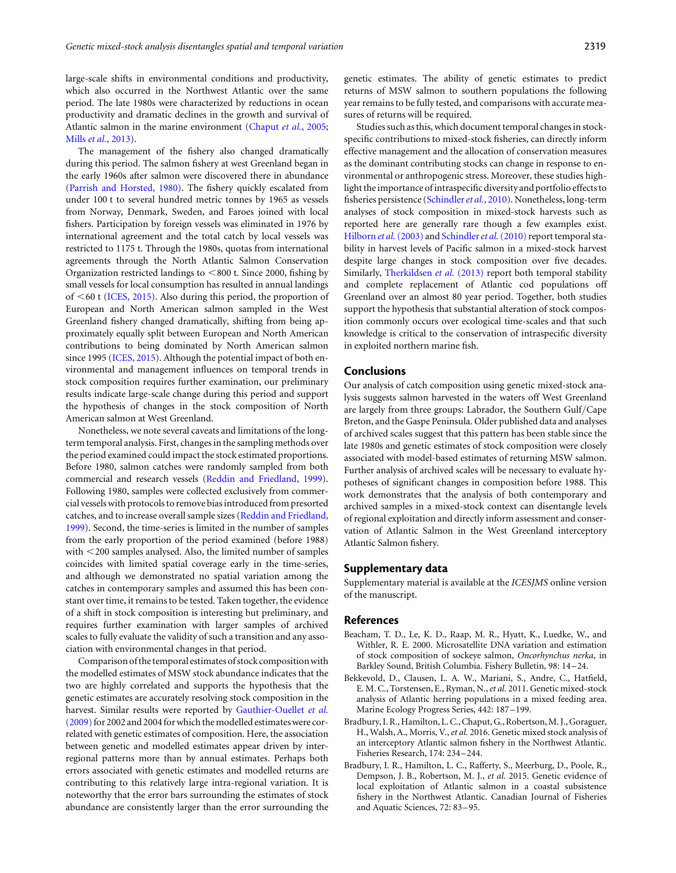<span id="page-8-0"></span>large-scale shifts in environmental conditions and productivity, which also occurred in the Northwest Atlantic over the same period. The late 1980s were characterized by reductions in ocean productivity and dramatic declines in the growth and survival of Atlantic salmon in the marine environment ([Chaput](#page-9-0) et al., 2005; Mills et al.[, 2013](#page-9-0)).

The management of the fishery also changed dramatically during this period. The salmon fishery at west Greenland began in the early 1960s after salmon were discovered there in abundance ([Parrish and Horsted, 1980](#page-9-0)). The fishery quickly escalated from under 100 t to several hundred metric tonnes by 1965 as vessels from Norway, Denmark, Sweden, and Faroes joined with local fishers. Participation by foreign vessels was eliminated in 1976 by international agreement and the total catch by local vessels was restricted to 1175 t. Through the 1980s, quotas from international agreements through the North Atlantic Salmon Conservation Organization restricted landings to  $\leq 800$  t. Since 2000, fishing by small vessels for local consumption has resulted in annual landings of  $\leq 60$  t [\(ICES, 2015](#page-9-0)). Also during this period, the proportion of European and North American salmon sampled in the West Greenland fishery changed dramatically, shifting from being approximately equally split between European and North American contributions to being dominated by North American salmon since 1995 ([ICES, 2015\)](#page-9-0). Although the potential impact of both environmental and management influences on temporal trends in stock composition requires further examination, our preliminary results indicate large-scale change during this period and support the hypothesis of changes in the stock composition of North American salmon at West Greenland.

Nonetheless, we note several caveats and limitations of the longterm temporal analysis. First, changes in the sampling methods over the period examined could impact the stock estimated proportions. Before 1980, salmon catches were randomly sampled from both commercial and research vessels [\(Reddin and Friedland, 1999](#page-9-0)). Following 1980, samples were collected exclusively from commercial vessels with protocols to remove bias introduced from presorted catches, and to increase overall sample sizes ([Reddin and Friedland,](#page-9-0) [1999\)](#page-9-0). Second, the time-series is limited in the number of samples from the early proportion of the period examined (before 1988) with  $<$  200 samples analysed. Also, the limited number of samples coincides with limited spatial coverage early in the time-series, and although we demonstrated no spatial variation among the catches in contemporary samples and assumed this has been constant over time, it remains to be tested. Taken together, the evidence of a shift in stock composition is interesting but preliminary, and requires further examination with larger samples of archived scales to fully evaluate the validity of such a transition and any association with environmental changes in that period.

Comparison of the temporal estimates of stock compositionwith the modelled estimates of MSW stock abundance indicates that the two are highly correlated and supports the hypothesis that the genetic estimates are accurately resolving stock composition in the harvest. Similar results were reported by [Gauthier-Ouellet](#page-9-0) et al.  $(2009)$  for 2002 and 2004 for which the modelled estimates were correlated with genetic estimates of composition. Here, the association between genetic and modelled estimates appear driven by interregional patterns more than by annual estimates. Perhaps both errors associated with genetic estimates and modelled returns are contributing to this relatively large intra-regional variation. It is noteworthy that the error bars surrounding the estimates of stock abundance are consistently larger than the error surrounding the genetic estimates. The ability of genetic estimates to predict returns of MSW salmon to southern populations the following year remains to be fully tested, and comparisons with accurate measures of returns will be required.

Studies such as this, which document temporal changes in stockspecific contributions to mixed-stock fisheries, can directly inform effective management and the allocation of conservation measures as the dominant contributing stocks can change in response to environmental or anthropogenic stress. Moreover, these studies highlight the importance of intraspecific diversity and portfolio effects to fisheries persistence ([Schindler](#page-10-0) et al., 2010). Nonetheless, long-term analyses of stock composition in mixed-stock harvests such as reported here are generally rare though a few examples exist. [Hilborn](#page-9-0) et al. (2003) and [Schindler](#page-10-0) et al. (2010) report temporal stability in harvest levels of Pacific salmon in a mixed-stock harvest despite large changes in stock composition over five decades. Similarly, [Therkildsen](#page-10-0) et al. (2013) report both temporal stability and complete replacement of Atlantic cod populations off Greenland over an almost 80 year period. Together, both studies support the hypothesis that substantial alteration of stock composition commonly occurs over ecological time-scales and that such knowledge is critical to the conservation of intraspecific diversity in exploited northern marine fish.

# **Conclusions**

Our analysis of catch composition using genetic mixed-stock analysis suggests salmon harvested in the waters off West Greenland are largely from three groups: Labrador, the Southern Gulf/Cape Breton, and the Gaspe Peninsula. Older published data and analyses of archived scales suggest that this pattern has been stable since the late 1980s and genetic estimates of stock composition were closely associated with model-based estimates of returning MSW salmon. Further analysis of archived scales will be necessary to evaluate hypotheses of significant changes in composition before 1988. This work demonstrates that the analysis of both contemporary and archived samples in a mixed-stock context can disentangle levels of regional exploitation and directly inform assessment and conservation of Atlantic Salmon in the West Greenland interceptory Atlantic Salmon fishery.

#### Supplementary data

[Supplementary material is available at the](http://icesjms.oxfordjournals.org/lookup/suppl/doi:10.1093/icesjms/fsw072/-/DC1) ICESJMS online version [of the manuscript.](http://icesjms.oxfordjournals.org/lookup/suppl/doi:10.1093/icesjms/fsw072/-/DC1)

# References

- Beacham, T. D., Le, K. D., Raap, M. R., Hyatt, K., Luedke, W., and Withler, R. E. 2000. Microsatellite DNA variation and estimation of stock composition of sockeye salmon, Oncorhynchus nerka, in Barkley Sound, British Columbia. Fishery Bulletin, 98: 14–24.
- Bekkevold, D., Clausen, L. A. W., Mariani, S., Andre, C., Hatfield, E. M. C., Torstensen, E., Ryman, N.,et al. 2011. Genetic mixed-stock analysis of Atlantic herring populations in a mixed feeding area. Marine Ecology Progress Series, 442: 187–199.
- Bradbury, I. R., Hamilton, L. C., Chaput, G., Robertson, M. J., Goraguer, H., Walsh, A., Morris, V., et al. 2016. Genetic mixed stock analysis of an interceptory Atlantic salmon fishery in the Northwest Atlantic. Fisheries Research, 174: 234–244.
- Bradbury, I. R., Hamilton, L. C., Rafferty, S., Meerburg, D., Poole, R., Dempson, J. B., Robertson, M. J., et al. 2015. Genetic evidence of local exploitation of Atlantic salmon in a coastal subsistence fishery in the Northwest Atlantic. Canadian Journal of Fisheries and Aquatic Sciences, 72: 83 –95.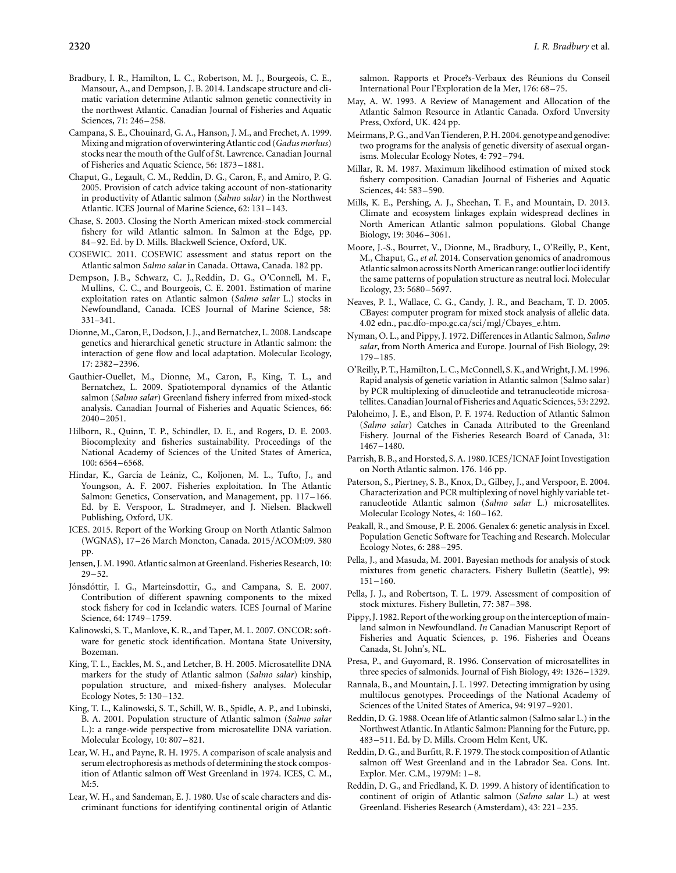- <span id="page-9-0"></span>Bradbury, I. R., Hamilton, L. C., Robertson, M. J., Bourgeois, C. E., Mansour, A., and Dempson, J. B. 2014. Landscape structure and climatic variation determine Atlantic salmon genetic connectivity in the northwest Atlantic. Canadian Journal of Fisheries and Aquatic Sciences, 71: 246–258.
- Campana, S. E., Chouinard, G. A., Hanson, J. M., and Frechet, A. 1999. Mixing and migration of overwintering Atlantic cod (Gadus morhus) stocks near the mouth of the Gulf of St. Lawrence. Canadian Journal of Fisheries and Aquatic Science, 56: 1873–1881.
- Chaput, G., Legault, C. M., Reddin, D. G., Caron, F., and Amiro, P. G. 2005. Provision of catch advice taking account of non-stationarity in productivity of Atlantic salmon (Salmo salar) in the Northwest Atlantic. ICES Journal of Marine Science, 62: 131–143.
- Chase, S. 2003. Closing the North American mixed-stock commercial fishery for wild Atlantic salmon. In Salmon at the Edge, pp. 84 –92. Ed. by D. Mills. Blackwell Science, Oxford, UK.
- COSEWIC. 2011. COSEWIC assessment and status report on the Atlantic salmon Salmo salar in Canada. Ottawa, Canada. 182 pp.
- Dempson, J. B., Schwarz, C. J., Reddin, D. G., O'Connell, M. F., exploitation rates on Atlantic salmon (Salmo salar L.) stocks in Mullins, C. C., and Bourgeois, C. E. 2001. Estimation of marine Newfoundland, Canada. ICES Journal of Marine Science, 58: 331–341.
- Dionne, M., Caron, F., Dodson, J. J., and Bernatchez, L. 2008. Landscape genetics and hierarchical genetic structure in Atlantic salmon: the interaction of gene flow and local adaptation. Molecular Ecology, 17: 2382–2396.
- Gauthier-Ouellet, M., Dionne, M., Caron, F., King, T. L., and Bernatchez, L. 2009. Spatiotemporal dynamics of the Atlantic salmon (Salmo salar) Greenland fishery inferred from mixed-stock analysis. Canadian Journal of Fisheries and Aquatic Sciences, 66: 2040–2051.
- Hilborn, R., Quinn, T. P., Schindler, D. E., and Rogers, D. E. 2003. Biocomplexity and fisheries sustainability. Proceedings of the National Academy of Sciences of the United States of America, 100: 6564–6568.
- Hindar, K., García de Leániz, C., Koljonen, M. L., Tufto, J., and Youngson, A. F. 2007. Fisheries exploitation. In The Atlantic Salmon: Genetics, Conservation, and Management, pp. 117–166. Ed. by E. Verspoor, L. Stradmeyer, and J. Nielsen. Blackwell Publishing, Oxford, UK.
- ICES. 2015. Report of the Working Group on North Atlantic Salmon (WGNAS), 17–26 March Moncton, Canada. 2015/ACOM:09. 380 pp.
- Jensen, J.M. 1990. Atlantic salmon at Greenland. Fisheries Research, 10:  $29 - 52.$
- Jónsdóttir, I. G., Marteinsdottir, G., and Campana, S. E. 2007. Contribution of different spawning components to the mixed stock fishery for cod in Icelandic waters. ICES Journal of Marine Science, 64: 1749–1759.
- Kalinowski, S. T., Manlove, K. R., and Taper, M. L. 2007. ONCOR: software for genetic stock identification. Montana State University, Bozeman.
- King, T. L., Eackles, M. S., and Letcher, B. H. 2005. Microsatellite DNA markers for the study of Atlantic salmon (Salmo salar) kinship, population structure, and mixed-fishery analyses. Molecular Ecology Notes, 5: 130 –132.
- King, T. L., Kalinowski, S. T., Schill, W. B., Spidle, A. P., and Lubinski, B. A. 2001. Population structure of Atlantic salmon (Salmo salar L.): a range-wide perspective from microsatellite DNA variation. Molecular Ecology, 10: 807–821.
- Lear, W. H., and Payne, R. H. 1975. A comparison of scale analysis and serum electrophoresis as methods of determining the stock composition of Atlantic salmon off West Greenland in 1974. ICES, C. M., M:5.
- Lear, W. H., and Sandeman, E. J. 1980. Use of scale characters and discriminant functions for identifying continental origin of Atlantic

salmon. Rapports et Proce?s-Verbaux des Réunions du Conseil International Pour l'Exploration de la Mer, 176: 68–75.

- May, A. W. 1993. A Review of Management and Allocation of the Atlantic Salmon Resource in Atlantic Canada. Oxford Unversity Press, Oxford, UK. 424 pp.
- Meirmans, P. G., and Van Tienderen, P. H. 2004. genotype and genodive: two programs for the analysis of genetic diversity of asexual organisms. Molecular Ecology Notes, 4: 792 –794.
- Millar, R. M. 1987. Maximum likelihood estimation of mixed stock fishery composition. Canadian Journal of Fisheries and Aquatic Sciences, 44: 583–590.
- Mills, K. E., Pershing, A. J., Sheehan, T. F., and Mountain, D. 2013. Climate and ecosystem linkages explain widespread declines in North American Atlantic salmon populations. Global Change Biology, 19: 3046–3061.
- Moore, J.-S., Bourret, V., Dionne, M., Bradbury, I., O'Reilly, P., Kent, M., Chaput, G., et al. 2014. Conservation genomics of anadromous Atlantic salmon acrossits North American range: outlier lociidentify the same patterns of population structure as neutral loci. Molecular Ecology, 23: 5680-5697.
- Neaves, P. I., Wallace, C. G., Candy, J. R., and Beacham, T. D. 2005. CBayes: computer program for mixed stock analysis of allelic data. 4.02 edn., pac.dfo-mpo.gc.ca/sci/mgl/Cbayes\_e.htm.
- Nyman, O. L., and Pippy, J. 1972. Differences in Atlantic Salmon, Salmo salar, from North America and Europe. Journal of Fish Biology, 29: 179–185.
- O'Reilly, P. T., Hamilton, L.C.,McConnell, S. K., andWright, J.M. 1996. Rapid analysis of genetic variation in Atlantic salmon (Salmo salar) by PCR multiplexing of dinucleotide and tetranucleotide microsatellites. Canadian Journal of Fisheries and Aquatic Sciences, 53: 2292.
- Paloheimo, J. E., and Elson, P. F. 1974. Reduction of Atlantic Salmon (Salmo salar) Catches in Canada Attributed to the Greenland Fishery. Journal of the Fisheries Research Board of Canada, 31: 1467–1480.
- Parrish, B. B., and Horsted, S. A. 1980. ICES/ICNAF Joint Investigation on North Atlantic salmon. 176. 146 pp.
- Paterson, S., Piertney, S. B., Knox, D., Gilbey, J., and Verspoor, E. 2004. Characterization and PCR multiplexing of novel highly variable tetranucleotide Atlantic salmon (Salmo salar L.) microsatellites. Molecular Ecology Notes, 4: 160–162.
- Peakall, R., and Smouse, P. E. 2006. Genalex 6: genetic analysis in Excel. Population Genetic Software for Teaching and Research. Molecular Ecology Notes, 6: 288 –295.
- Pella, J., and Masuda, M. 2001. Bayesian methods for analysis of stock mixtures from genetic characters. Fishery Bulletin (Seattle), 99: 151–160.
- Pella, J. J., and Robertson, T. L. 1979. Assessment of composition of stock mixtures. Fishery Bulletin, 77: 387 –398.
- Pippy, J. 1982. Report of theworking group on the interception of mainland salmon in Newfoundland. In Canadian Manuscript Report of Fisheries and Aquatic Sciences, p. 196. Fisheries and Oceans Canada, St. John's, NL.
- Presa, P., and Guyomard, R. 1996. Conservation of microsatellites in three species of salmonids. Journal of Fish Biology, 49: 1326–1329.
- Rannala, B., and Mountain, J. L. 1997. Detecting immigration by using multilocus genotypes. Proceedings of the National Academy of Sciences of the United States of America, 94: 9197–9201.
- Reddin, D. G. 1988. Ocean life of Atlantic salmon (Salmo salar L.) in the Northwest Atlantic. In Atlantic Salmon: Planning for the Future, pp. 483–511. Ed. by D. Mills. Croom Helm Kent, UK.
- Reddin, D. G., and Burfitt, R. F. 1979. The stock composition of Atlantic salmon off West Greenland and in the Labrador Sea. Cons. Int. Explor. Mer. C.M., 1979M: 1 –8.
- Reddin, D. G., and Friedland, K. D. 1999. A history of identification to continent of origin of Atlantic salmon (Salmo salar L.) at west Greenland. Fisheries Research (Amsterdam), 43: 221 –235.